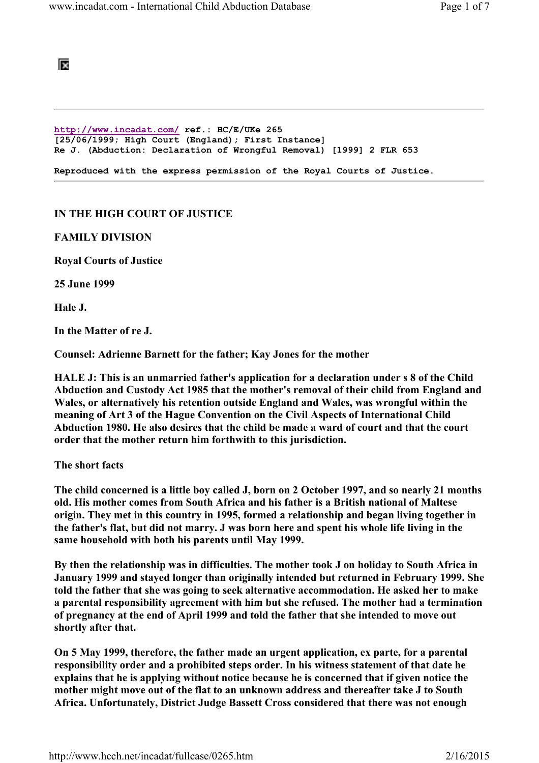## ĪХ

http://www.incadat.com/ ref.: HC/E/UKe 265 [25/06/1999; High Court (England); First Instance] Re J. (Abduction: Declaration of Wrongful Removal) [1999] 2 FLR 653 Reproduced with the express permission of the Royal Courts of Justice.

## IN THE HIGH COURT OF JUSTICE

#### FAMILY DIVISION

Royal Courts of Justice

25 June 1999

Hale J.

In the Matter of re J.

Counsel: Adrienne Barnett for the father; Kay Jones for the mother

HALE J: This is an unmarried father's application for a declaration under s 8 of the Child Abduction and Custody Act 1985 that the mother's removal of their child from England and Wales, or alternatively his retention outside England and Wales, was wrongful within the meaning of Art 3 of the Hague Convention on the Civil Aspects of International Child Abduction 1980. He also desires that the child be made a ward of court and that the court order that the mother return him forthwith to this jurisdiction.

The short facts

The child concerned is a little boy called J, born on 2 October 1997, and so nearly 21 months old. His mother comes from South Africa and his father is a British national of Maltese origin. They met in this country in 1995, formed a relationship and began living together in the father's flat, but did not marry. J was born here and spent his whole life living in the same household with both his parents until May 1999.

By then the relationship was in difficulties. The mother took J on holiday to South Africa in January 1999 and stayed longer than originally intended but returned in February 1999. She told the father that she was going to seek alternative accommodation. He asked her to make a parental responsibility agreement with him but she refused. The mother had a termination of pregnancy at the end of April 1999 and told the father that she intended to move out shortly after that.

On 5 May 1999, therefore, the father made an urgent application, ex parte, for a parental responsibility order and a prohibited steps order. In his witness statement of that date he explains that he is applying without notice because he is concerned that if given notice the mother might move out of the flat to an unknown address and thereafter take J to South Africa. Unfortunately, District Judge Bassett Cross considered that there was not enough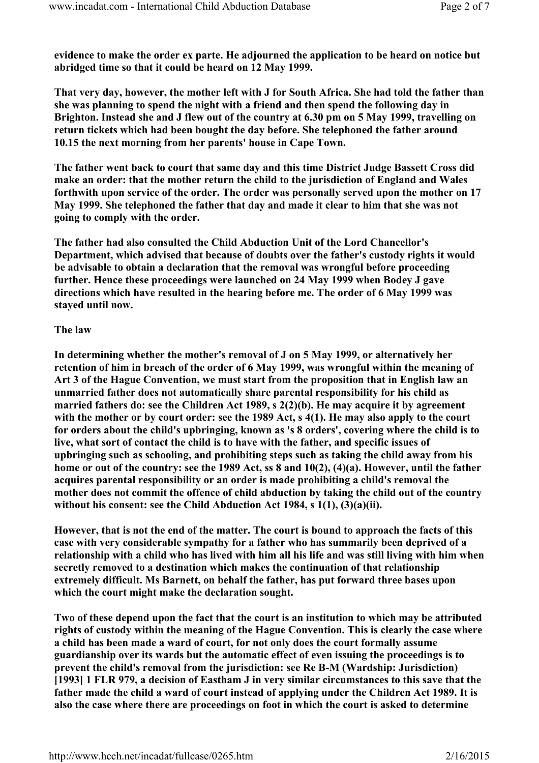evidence to make the order ex parte. He adjourned the application to be heard on notice but abridged time so that it could be heard on 12 May 1999.

That very day, however, the mother left with J for South Africa. She had told the father than she was planning to spend the night with a friend and then spend the following day in Brighton. Instead she and J flew out of the country at 6.30 pm on 5 May 1999, travelling on return tickets which had been bought the day before. She telephoned the father around 10.15 the next morning from her parents' house in Cape Town.

The father went back to court that same day and this time District Judge Bassett Cross did make an order: that the mother return the child to the jurisdiction of England and Wales forthwith upon service of the order. The order was personally served upon the mother on 17 May 1999. She telephoned the father that day and made it clear to him that she was not going to comply with the order.

The father had also consulted the Child Abduction Unit of the Lord Chancellor's Department, which advised that because of doubts over the father's custody rights it would be advisable to obtain a declaration that the removal was wrongful before proceeding further. Hence these proceedings were launched on 24 May 1999 when Bodey J gave directions which have resulted in the hearing before me. The order of 6 May 1999 was stayed until now.

## The law

In determining whether the mother's removal of J on 5 May 1999, or alternatively her retention of him in breach of the order of 6 May 1999, was wrongful within the meaning of Art 3 of the Hague Convention, we must start from the proposition that in English law an unmarried father does not automatically share parental responsibility for his child as married fathers do: see the Children Act 1989, s 2(2)(b). He may acquire it by agreement with the mother or by court order: see the 1989 Act, s 4(1). He may also apply to the court for orders about the child's upbringing, known as 's 8 orders', covering where the child is to live, what sort of contact the child is to have with the father, and specific issues of upbringing such as schooling, and prohibiting steps such as taking the child away from his home or out of the country: see the 1989 Act, ss 8 and 10(2), (4)(a). However, until the father acquires parental responsibility or an order is made prohibiting a child's removal the mother does not commit the offence of child abduction by taking the child out of the country without his consent: see the Child Abduction Act 1984, s 1(1), (3)(a)(ii).

However, that is not the end of the matter. The court is bound to approach the facts of this case with very considerable sympathy for a father who has summarily been deprived of a relationship with a child who has lived with him all his life and was still living with him when secretly removed to a destination which makes the continuation of that relationship extremely difficult. Ms Barnett, on behalf the father, has put forward three bases upon which the court might make the declaration sought.

Two of these depend upon the fact that the court is an institution to which may be attributed rights of custody within the meaning of the Hague Convention. This is clearly the case where a child has been made a ward of court, for not only does the court formally assume guardianship over its wards but the automatic effect of even issuing the proceedings is to prevent the child's removal from the jurisdiction: see Re B-M (Wardship: Jurisdiction) [1993] 1 FLR 979, a decision of Eastham J in very similar circumstances to this save that the father made the child a ward of court instead of applying under the Children Act 1989. It is also the case where there are proceedings on foot in which the court is asked to determine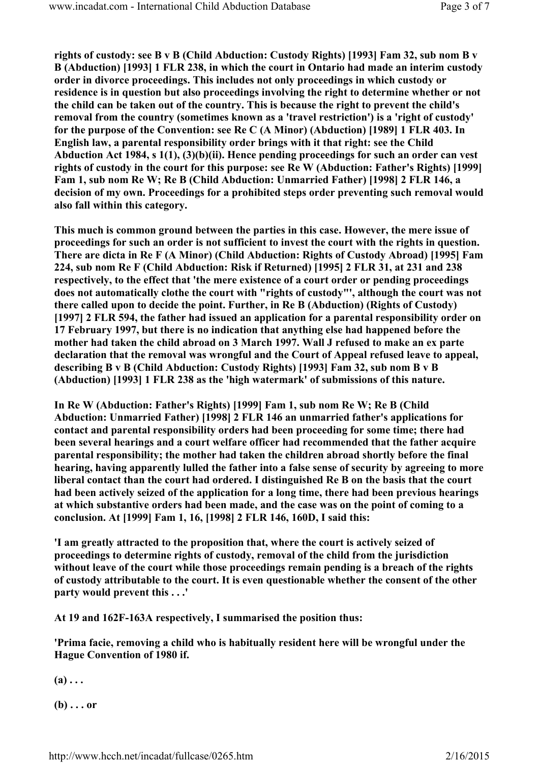rights of custody: see B v B (Child Abduction: Custody Rights) [1993] Fam 32, sub nom B v B (Abduction) [1993] 1 FLR 238, in which the court in Ontario had made an interim custody order in divorce proceedings. This includes not only proceedings in which custody or residence is in question but also proceedings involving the right to determine whether or not the child can be taken out of the country. This is because the right to prevent the child's removal from the country (sometimes known as a 'travel restriction') is a 'right of custody' for the purpose of the Convention: see Re C (A Minor) (Abduction) [1989] 1 FLR 403. In English law, a parental responsibility order brings with it that right: see the Child Abduction Act 1984, s 1(1), (3)(b)(ii). Hence pending proceedings for such an order can vest rights of custody in the court for this purpose: see Re W (Abduction: Father's Rights) [1999] Fam 1, sub nom Re W; Re B (Child Abduction: Unmarried Father) [1998] 2 FLR 146, a decision of my own. Proceedings for a prohibited steps order preventing such removal would also fall within this category.

This much is common ground between the parties in this case. However, the mere issue of proceedings for such an order is not sufficient to invest the court with the rights in question. There are dicta in Re F (A Minor) (Child Abduction: Rights of Custody Abroad) [1995] Fam 224, sub nom Re F (Child Abduction: Risk if Returned) [1995] 2 FLR 31, at 231 and 238 respectively, to the effect that 'the mere existence of a court order or pending proceedings does not automatically clothe the court with "rights of custody"', although the court was not there called upon to decide the point. Further, in Re B (Abduction) (Rights of Custody) [1997] 2 FLR 594, the father had issued an application for a parental responsibility order on 17 February 1997, but there is no indication that anything else had happened before the mother had taken the child abroad on 3 March 1997. Wall J refused to make an ex parte declaration that the removal was wrongful and the Court of Appeal refused leave to appeal, describing B v B (Child Abduction: Custody Rights) [1993] Fam 32, sub nom B v B (Abduction) [1993] 1 FLR 238 as the 'high watermark' of submissions of this nature.

In Re W (Abduction: Father's Rights) [1999] Fam 1, sub nom Re W; Re B (Child Abduction: Unmarried Father) [1998] 2 FLR 146 an unmarried father's applications for contact and parental responsibility orders had been proceeding for some time; there had been several hearings and a court welfare officer had recommended that the father acquire parental responsibility; the mother had taken the children abroad shortly before the final hearing, having apparently lulled the father into a false sense of security by agreeing to more liberal contact than the court had ordered. I distinguished Re B on the basis that the court had been actively seized of the application for a long time, there had been previous hearings at which substantive orders had been made, and the case was on the point of coming to a conclusion. At [1999] Fam 1, 16, [1998] 2 FLR 146, 160D, I said this:

'I am greatly attracted to the proposition that, where the court is actively seized of proceedings to determine rights of custody, removal of the child from the jurisdiction without leave of the court while those proceedings remain pending is a breach of the rights of custody attributable to the court. It is even questionable whether the consent of the other party would prevent this . . .'

At 19 and 162F-163A respectively, I summarised the position thus:

'Prima facie, removing a child who is habitually resident here will be wrongful under the Hague Convention of 1980 if.

 $(a) \ldots$ 

 $(b) \ldots$  or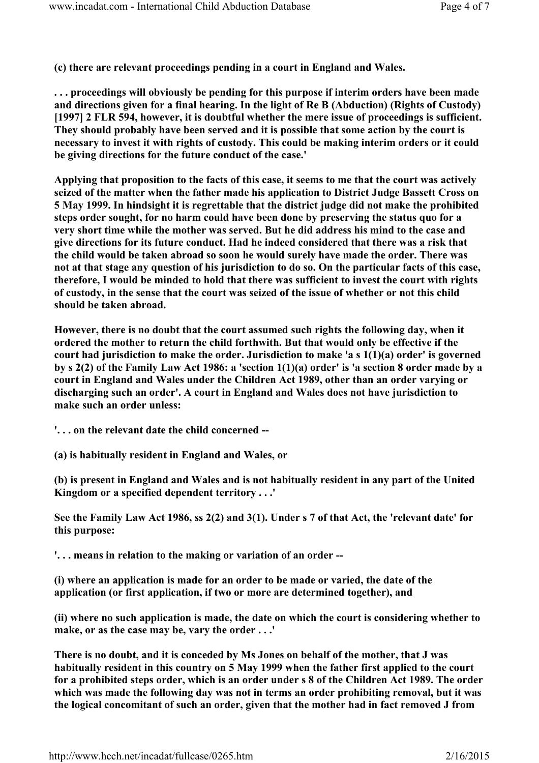(c) there are relevant proceedings pending in a court in England and Wales.

. . . proceedings will obviously be pending for this purpose if interim orders have been made and directions given for a final hearing. In the light of Re B (Abduction) (Rights of Custody) [1997] 2 FLR 594, however, it is doubtful whether the mere issue of proceedings is sufficient. They should probably have been served and it is possible that some action by the court is necessary to invest it with rights of custody. This could be making interim orders or it could be giving directions for the future conduct of the case.'

Applying that proposition to the facts of this case, it seems to me that the court was actively seized of the matter when the father made his application to District Judge Bassett Cross on 5 May 1999. In hindsight it is regrettable that the district judge did not make the prohibited steps order sought, for no harm could have been done by preserving the status quo for a very short time while the mother was served. But he did address his mind to the case and give directions for its future conduct. Had he indeed considered that there was a risk that the child would be taken abroad so soon he would surely have made the order. There was not at that stage any question of his jurisdiction to do so. On the particular facts of this case, therefore, I would be minded to hold that there was sufficient to invest the court with rights of custody, in the sense that the court was seized of the issue of whether or not this child should be taken abroad.

However, there is no doubt that the court assumed such rights the following day, when it ordered the mother to return the child forthwith. But that would only be effective if the court had jurisdiction to make the order. Jurisdiction to make 'a s 1(1)(a) order' is governed by s 2(2) of the Family Law Act 1986: a 'section 1(1)(a) order' is 'a section 8 order made by a court in England and Wales under the Children Act 1989, other than an order varying or discharging such an order'. A court in England and Wales does not have jurisdiction to make such an order unless:

'. . . on the relevant date the child concerned --

(a) is habitually resident in England and Wales, or

(b) is present in England and Wales and is not habitually resident in any part of the United Kingdom or a specified dependent territory . . .'

See the Family Law Act 1986, ss 2(2) and 3(1). Under s 7 of that Act, the 'relevant date' for this purpose:

'. . . means in relation to the making or variation of an order --

(i) where an application is made for an order to be made or varied, the date of the application (or first application, if two or more are determined together), and

(ii) where no such application is made, the date on which the court is considering whether to make, or as the case may be, vary the order . . .'

There is no doubt, and it is conceded by Ms Jones on behalf of the mother, that J was habitually resident in this country on 5 May 1999 when the father first applied to the court for a prohibited steps order, which is an order under s 8 of the Children Act 1989. The order which was made the following day was not in terms an order prohibiting removal, but it was the logical concomitant of such an order, given that the mother had in fact removed J from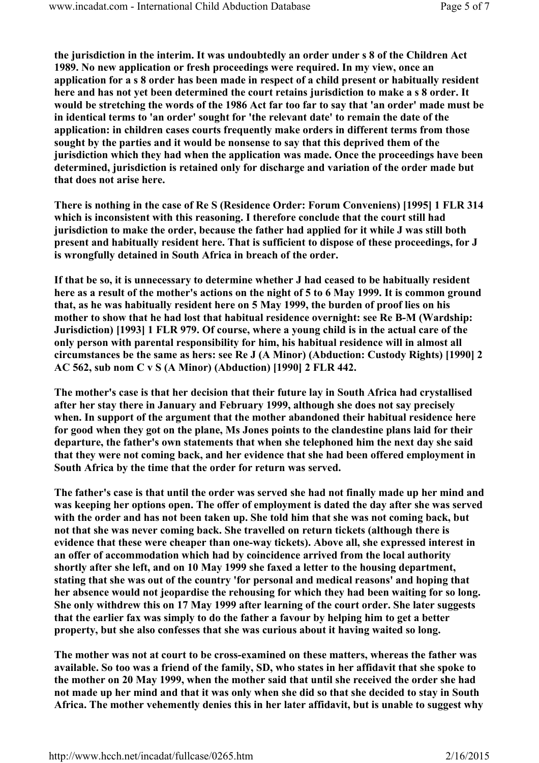the jurisdiction in the interim. It was undoubtedly an order under s 8 of the Children Act 1989. No new application or fresh proceedings were required. In my view, once an application for a s 8 order has been made in respect of a child present or habitually resident here and has not yet been determined the court retains jurisdiction to make a s 8 order. It would be stretching the words of the 1986 Act far too far to say that 'an order' made must be in identical terms to 'an order' sought for 'the relevant date' to remain the date of the application: in children cases courts frequently make orders in different terms from those sought by the parties and it would be nonsense to say that this deprived them of the jurisdiction which they had when the application was made. Once the proceedings have been determined, jurisdiction is retained only for discharge and variation of the order made but that does not arise here.

There is nothing in the case of Re S (Residence Order: Forum Conveniens) [1995] 1 FLR 314 which is inconsistent with this reasoning. I therefore conclude that the court still had jurisdiction to make the order, because the father had applied for it while J was still both present and habitually resident here. That is sufficient to dispose of these proceedings, for J is wrongfully detained in South Africa in breach of the order.

If that be so, it is unnecessary to determine whether J had ceased to be habitually resident here as a result of the mother's actions on the night of 5 to 6 May 1999. It is common ground that, as he was habitually resident here on 5 May 1999, the burden of proof lies on his mother to show that he had lost that habitual residence overnight: see Re B-M (Wardship: Jurisdiction) [1993] 1 FLR 979. Of course, where a young child is in the actual care of the only person with parental responsibility for him, his habitual residence will in almost all circumstances be the same as hers: see Re J (A Minor) (Abduction: Custody Rights) [1990] 2 AC 562, sub nom C v S (A Minor) (Abduction) [1990] 2 FLR 442.

The mother's case is that her decision that their future lay in South Africa had crystallised after her stay there in January and February 1999, although she does not say precisely when. In support of the argument that the mother abandoned their habitual residence here for good when they got on the plane, Ms Jones points to the clandestine plans laid for their departure, the father's own statements that when she telephoned him the next day she said that they were not coming back, and her evidence that she had been offered employment in South Africa by the time that the order for return was served.

The father's case is that until the order was served she had not finally made up her mind and was keeping her options open. The offer of employment is dated the day after she was served with the order and has not been taken up. She told him that she was not coming back, but not that she was never coming back. She travelled on return tickets (although there is evidence that these were cheaper than one-way tickets). Above all, she expressed interest in an offer of accommodation which had by coincidence arrived from the local authority shortly after she left, and on 10 May 1999 she faxed a letter to the housing department, stating that she was out of the country 'for personal and medical reasons' and hoping that her absence would not jeopardise the rehousing for which they had been waiting for so long. She only withdrew this on 17 May 1999 after learning of the court order. She later suggests that the earlier fax was simply to do the father a favour by helping him to get a better property, but she also confesses that she was curious about it having waited so long.

The mother was not at court to be cross-examined on these matters, whereas the father was available. So too was a friend of the family, SD, who states in her affidavit that she spoke to the mother on 20 May 1999, when the mother said that until she received the order she had not made up her mind and that it was only when she did so that she decided to stay in South Africa. The mother vehemently denies this in her later affidavit, but is unable to suggest why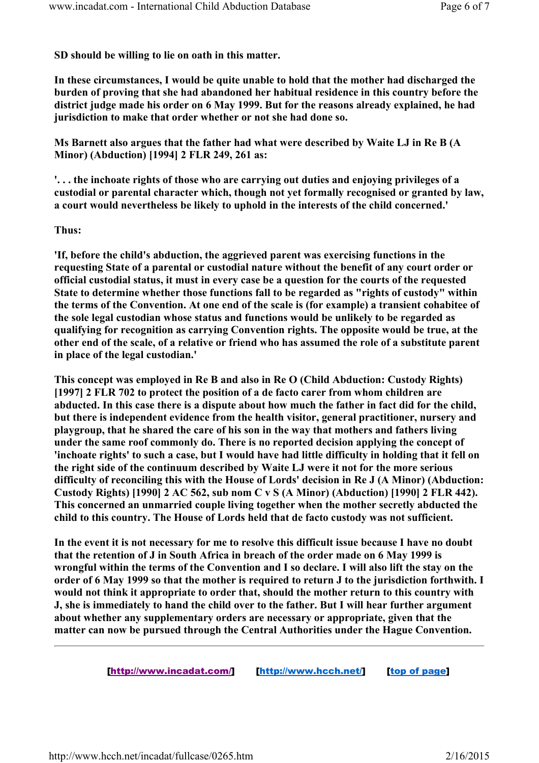SD should be willing to lie on oath in this matter.

In these circumstances, I would be quite unable to hold that the mother had discharged the burden of proving that she had abandoned her habitual residence in this country before the district judge made his order on 6 May 1999. But for the reasons already explained, he had jurisdiction to make that order whether or not she had done so.

Ms Barnett also argues that the father had what were described by Waite LJ in Re B (A Minor) (Abduction) [1994] 2 FLR 249, 261 as:

'. . . the inchoate rights of those who are carrying out duties and enjoying privileges of a custodial or parental character which, though not yet formally recognised or granted by law, a court would nevertheless be likely to uphold in the interests of the child concerned.'

#### Thus:

'If, before the child's abduction, the aggrieved parent was exercising functions in the requesting State of a parental or custodial nature without the benefit of any court order or official custodial status, it must in every case be a question for the courts of the requested State to determine whether those functions fall to be regarded as "rights of custody" within the terms of the Convention. At one end of the scale is (for example) a transient cohabitee of the sole legal custodian whose status and functions would be unlikely to be regarded as qualifying for recognition as carrying Convention rights. The opposite would be true, at the other end of the scale, of a relative or friend who has assumed the role of a substitute parent in place of the legal custodian.'

This concept was employed in Re B and also in Re O (Child Abduction: Custody Rights) [1997] 2 FLR 702 to protect the position of a de facto carer from whom children are abducted. In this case there is a dispute about how much the father in fact did for the child, but there is independent evidence from the health visitor, general practitioner, nursery and playgroup, that he shared the care of his son in the way that mothers and fathers living under the same roof commonly do. There is no reported decision applying the concept of 'inchoate rights' to such a case, but I would have had little difficulty in holding that it fell on the right side of the continuum described by Waite LJ were it not for the more serious difficulty of reconciling this with the House of Lords' decision in Re J (A Minor) (Abduction: Custody Rights) [1990] 2 AC 562, sub nom C v S (A Minor) (Abduction) [1990] 2 FLR 442). This concerned an unmarried couple living together when the mother secretly abducted the child to this country. The House of Lords held that de facto custody was not sufficient.

In the event it is not necessary for me to resolve this difficult issue because I have no doubt that the retention of J in South Africa in breach of the order made on 6 May 1999 is wrongful within the terms of the Convention and I so declare. I will also lift the stay on the order of 6 May 1999 so that the mother is required to return J to the jurisdiction forthwith. I would not think it appropriate to order that, should the mother return to this country with J, she is immediately to hand the child over to the father. But I will hear further argument about whether any supplementary orders are necessary or appropriate, given that the matter can now be pursued through the Central Authorities under the Hague Convention.

[http://www.incadat.com/] [http://www.hcch.net/] [top of page]